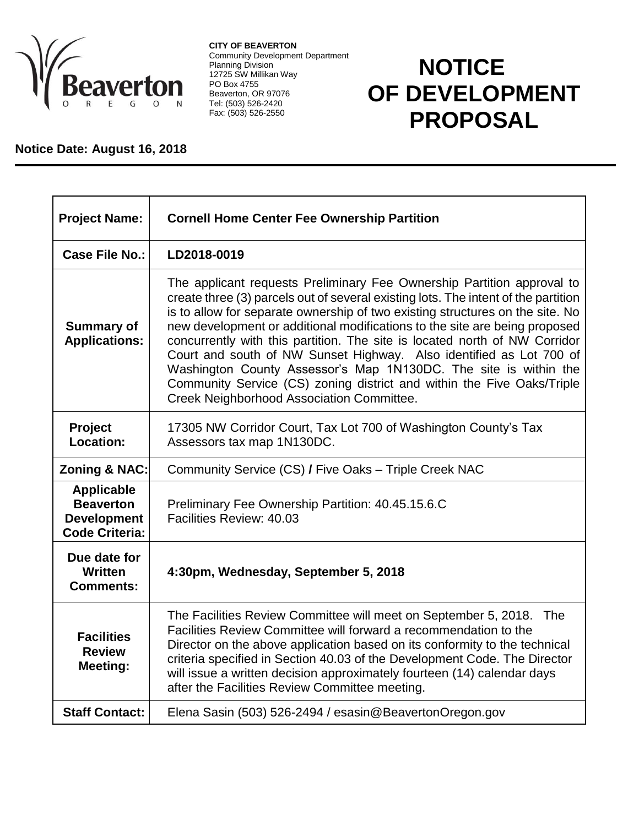

**CITY OF BEAVERTON** Community Development Department Planning Division 12725 SW Millikan Way PO Box 4755 Beaverton, OR 97076 Tel: (503) 526-2420 Fax: (503) 526-2550

## **NOTICE OF DEVELOPMENT PROPOSAL**

## **Notice Date: August 16, 2018**

| <b>Project Name:</b>                                                                 | <b>Cornell Home Center Fee Ownership Partition</b>                                                                                                                                                                                                                                                                                                                                                                                                                                                                                                                                                                                                                          |
|--------------------------------------------------------------------------------------|-----------------------------------------------------------------------------------------------------------------------------------------------------------------------------------------------------------------------------------------------------------------------------------------------------------------------------------------------------------------------------------------------------------------------------------------------------------------------------------------------------------------------------------------------------------------------------------------------------------------------------------------------------------------------------|
| Case File No.:                                                                       | LD2018-0019                                                                                                                                                                                                                                                                                                                                                                                                                                                                                                                                                                                                                                                                 |
| <b>Summary of</b><br><b>Applications:</b>                                            | The applicant requests Preliminary Fee Ownership Partition approval to<br>create three (3) parcels out of several existing lots. The intent of the partition<br>is to allow for separate ownership of two existing structures on the site. No<br>new development or additional modifications to the site are being proposed<br>concurrently with this partition. The site is located north of NW Corridor<br>Court and south of NW Sunset Highway. Also identified as Lot 700 of<br>Washington County Assessor's Map 1N130DC. The site is within the<br>Community Service (CS) zoning district and within the Five Oaks/Triple<br>Creek Neighborhood Association Committee. |
| Project<br>Location:                                                                 | 17305 NW Corridor Court, Tax Lot 700 of Washington County's Tax<br>Assessors tax map 1N130DC.                                                                                                                                                                                                                                                                                                                                                                                                                                                                                                                                                                               |
| <b>Zoning &amp; NAC:</b>                                                             | Community Service (CS) / Five Oaks - Triple Creek NAC                                                                                                                                                                                                                                                                                                                                                                                                                                                                                                                                                                                                                       |
| <b>Applicable</b><br><b>Beaverton</b><br><b>Development</b><br><b>Code Criteria:</b> | Preliminary Fee Ownership Partition: 40.45.15.6.C<br>Facilities Review: 40.03                                                                                                                                                                                                                                                                                                                                                                                                                                                                                                                                                                                               |
| Due date for<br><b>Written</b><br><b>Comments:</b>                                   | 4:30pm, Wednesday, September 5, 2018                                                                                                                                                                                                                                                                                                                                                                                                                                                                                                                                                                                                                                        |
| <b>Facilities</b><br><b>Review</b><br>Meeting:                                       | The Facilities Review Committee will meet on September 5, 2018.<br>The<br>Facilities Review Committee will forward a recommendation to the<br>Director on the above application based on its conformity to the technical<br>criteria specified in Section 40.03 of the Development Code. The Director<br>will issue a written decision approximately fourteen (14) calendar days<br>after the Facilities Review Committee meeting.                                                                                                                                                                                                                                          |
| <b>Staff Contact:</b>                                                                | Elena Sasin (503) 526-2494 / esasin@BeavertonOregon.gov                                                                                                                                                                                                                                                                                                                                                                                                                                                                                                                                                                                                                     |